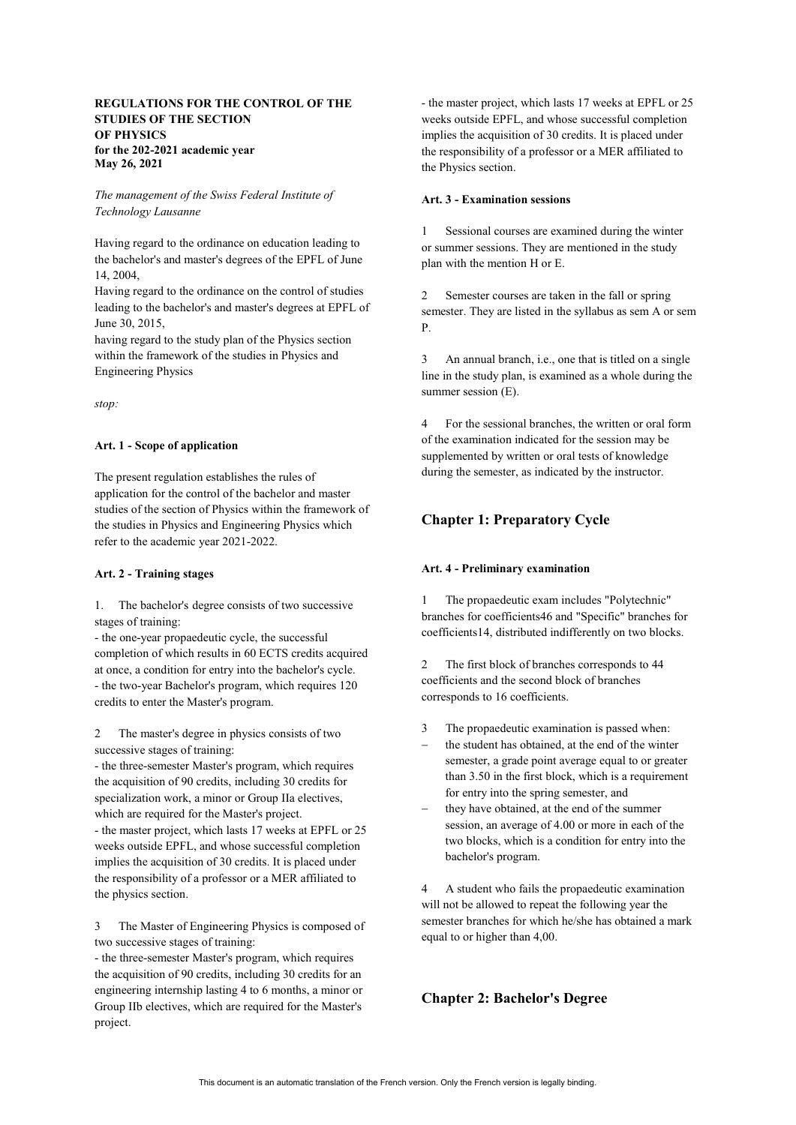## **REGULATIONS FOR THE CONTROL OF THE STUDIES OF THE SECTION OF PHYSICS for the 202-2021 academic year May 26, 2021**

*The management of the Swiss Federal Institute of Technology Lausanne*

Having regard to the ordinance on education leading to the bachelor's and master's degrees of the EPFL of June 14, 2004,

Having regard to the ordinance on the control of studies leading to the bachelor's and master's degrees at EPFL of June 30, 2015,

having regard to the study plan of the Physics section within the framework of the studies in Physics and Engineering Physics

*stop:*

## **Art. 1 - Scope of application**

The present regulation establishes the rules of application for the control of the bachelor and master studies of the section of Physics within the framework of the studies in Physics and Engineering Physics which refer to the academic year 2021-2022.

#### **Art. 2 - Training stages**

1. The bachelor's degree consists of two successive stages of training:

- the one-year propaedeutic cycle, the successful completion of which results in 60 ECTS credits acquired at once, a condition for entry into the bachelor's cycle. - the two-year Bachelor's program, which requires 120 credits to enter the Master's program.

2 The master's degree in physics consists of two successive stages of training:

- the three-semester Master's program, which requires the acquisition of 90 credits, including 30 credits for specialization work, a minor or Group IIa electives, which are required for the Master's project.

- the master project, which lasts 17 weeks at EPFL or 25 weeks outside EPFL, and whose successful completion implies the acquisition of 30 credits. It is placed under the responsibility of a professor or a MER affiliated to the physics section.

3 The Master of Engineering Physics is composed of two successive stages of training:

- the three-semester Master's program, which requires the acquisition of 90 credits, including 30 credits for an engineering internship lasting 4 to 6 months, a minor or Group IIb electives, which are required for the Master's project.

- the master project, which lasts 17 weeks at EPFL or 25 weeks outside EPFL, and whose successful completion implies the acquisition of 30 credits. It is placed under the responsibility of a professor or a MER affiliated to the Physics section.

#### **Art. 3 - Examination sessions**

1 Sessional courses are examined during the winter or summer sessions. They are mentioned in the study plan with the mention H or E.

2 Semester courses are taken in the fall or spring semester. They are listed in the syllabus as sem A or sem P.

3 An annual branch, i.e., one that is titled on a single line in the study plan, is examined as a whole during the summer session (E).

4 For the sessional branches, the written or oral form of the examination indicated for the session may be supplemented by written or oral tests of knowledge during the semester, as indicated by the instructor.

# **Chapter 1: Preparatory Cycle**

#### **Art. 4 - Preliminary examination**

1 The propaedeutic exam includes "Polytechnic" branches for coefficients46 and "Specific" branches for coefficients14, distributed indifferently on two blocks.

2 The first block of branches corresponds to 44 coefficients and the second block of branches corresponds to 16 coefficients.

- 3 The propaedeutic examination is passed when:
- the student has obtained, at the end of the winter semester, a grade point average equal to or greater than 3.50 in the first block, which is a requirement for entry into the spring semester, and
- they have obtained, at the end of the summer session, an average of 4.00 or more in each of the two blocks, which is a condition for entry into the bachelor's program.

4 A student who fails the propaedeutic examination will not be allowed to repeat the following year the semester branches for which he/she has obtained a mark equal to or higher than 4,00.

## **Chapter 2: Bachelor's Degree**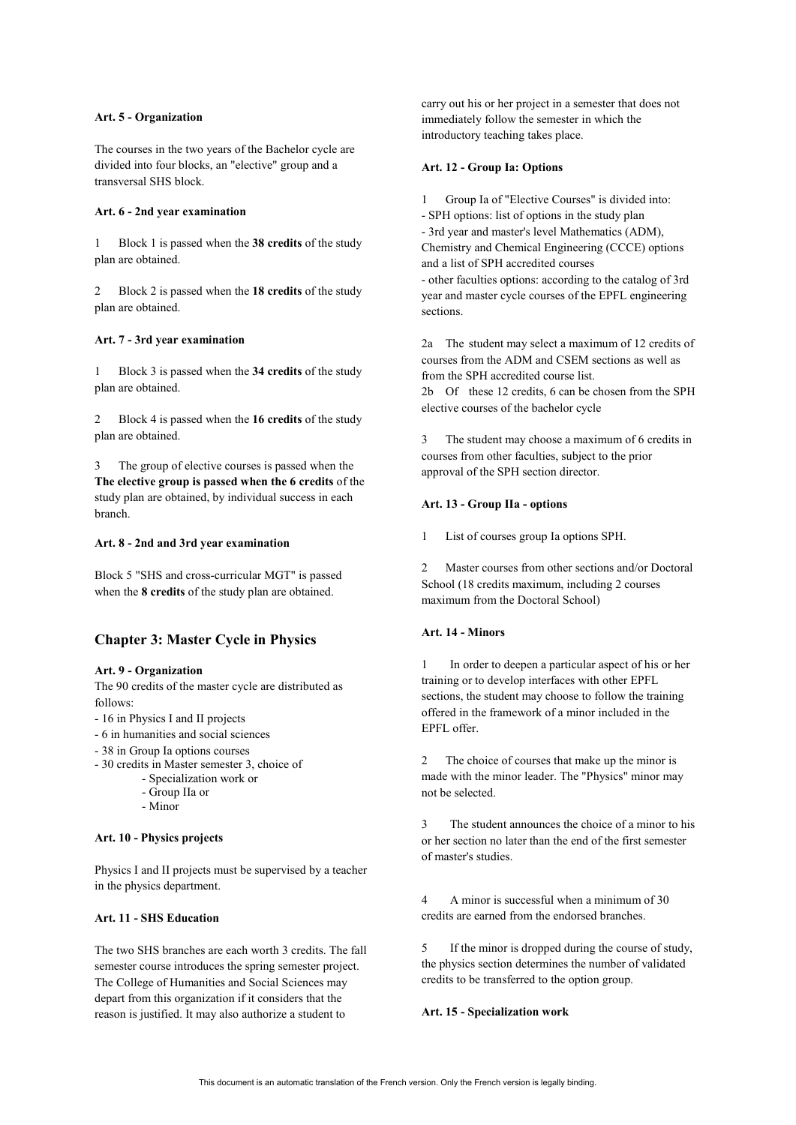## **Art. 5 - Organization**

The courses in the two years of the Bachelor cycle are divided into four blocks, an "elective" group and a transversal SHS block.

### **Art. 6 - 2nd year examination**

1 Block 1 is passed when the **38 credits** of the study plan are obtained.

2 Block 2 is passed when the **18 credits** of the study plan are obtained.

#### **Art. 7 - 3rd year examination**

1 Block 3 is passed when the **34 credits** of the study plan are obtained.

2 Block 4 is passed when the **16 credits** of the study plan are obtained.

3 The group of elective courses is passed when the **The elective group is passed when the 6 credits** of the study plan are obtained, by individual success in each branch.

#### **Art. 8 - 2nd and 3rd year examination**

Block 5 "SHS and cross-curricular MGT" is passed when the **8 credits** of the study plan are obtained.

## **Chapter 3: Master Cycle in Physics**

#### **Art. 9 - Organization**

The 90 credits of the master cycle are distributed as follows:

- 16 in Physics I and II projects
- 6 in humanities and social sciences
- 38 in Group Ia options courses
- 30 credits in Master semester 3, choice of
	- Specialization work or
		- Group IIa or
		- Minor

## **Art. 10 - Physics projects**

Physics I and II projects must be supervised by a teacher in the physics department.

## **Art. 11 - SHS Education**

The two SHS branches are each worth 3 credits. The fall semester course introduces the spring semester project. The College of Humanities and Social Sciences may depart from this organization if it considers that the reason is justified. It may also authorize a student to

carry out his or her project in a semester that does not immediately follow the semester in which the introductory teaching takes place.

## **Art. 12 - Group Ia: Options**

Group Ia of "Elective Courses" is divided into: - SPH options: list of options in the study plan - 3rd year and master's level Mathematics (ADM), Chemistry and Chemical Engineering (CCCE) options and a list of SPH accredited courses - other faculties options: according to the catalog of 3rd year and master cycle courses of the EPFL engineering sections.

2a The student may select a maximum of 12 credits of courses from the ADM and CSEM sections as well as from the SPH accredited course list. 2b Of these 12 credits, 6 can be chosen from the SPH elective courses of the bachelor cycle

3 The student may choose a maximum of 6 credits in courses from other faculties, subject to the prior approval of the SPH section director.

## **Art. 13 - Group IIa - options**

1 List of courses group Ia options SPH.

2 Master courses from other sections and/or Doctoral School (18 credits maximum, including 2 courses maximum from the Doctoral School)

#### **Art. 14 - Minors**

In order to deepen a particular aspect of his or her training or to develop interfaces with other EPFL sections, the student may choose to follow the training offered in the framework of a minor included in the EPFL offer.

2 The choice of courses that make up the minor is made with the minor leader. The "Physics" minor may not be selected.

3 The student announces the choice of a minor to his or her section no later than the end of the first semester of master's studies.

4 A minor is successful when a minimum of 30 credits are earned from the endorsed branches.

5 If the minor is dropped during the course of study, the physics section determines the number of validated credits to be transferred to the option group.

**Art. 15 - Specialization work**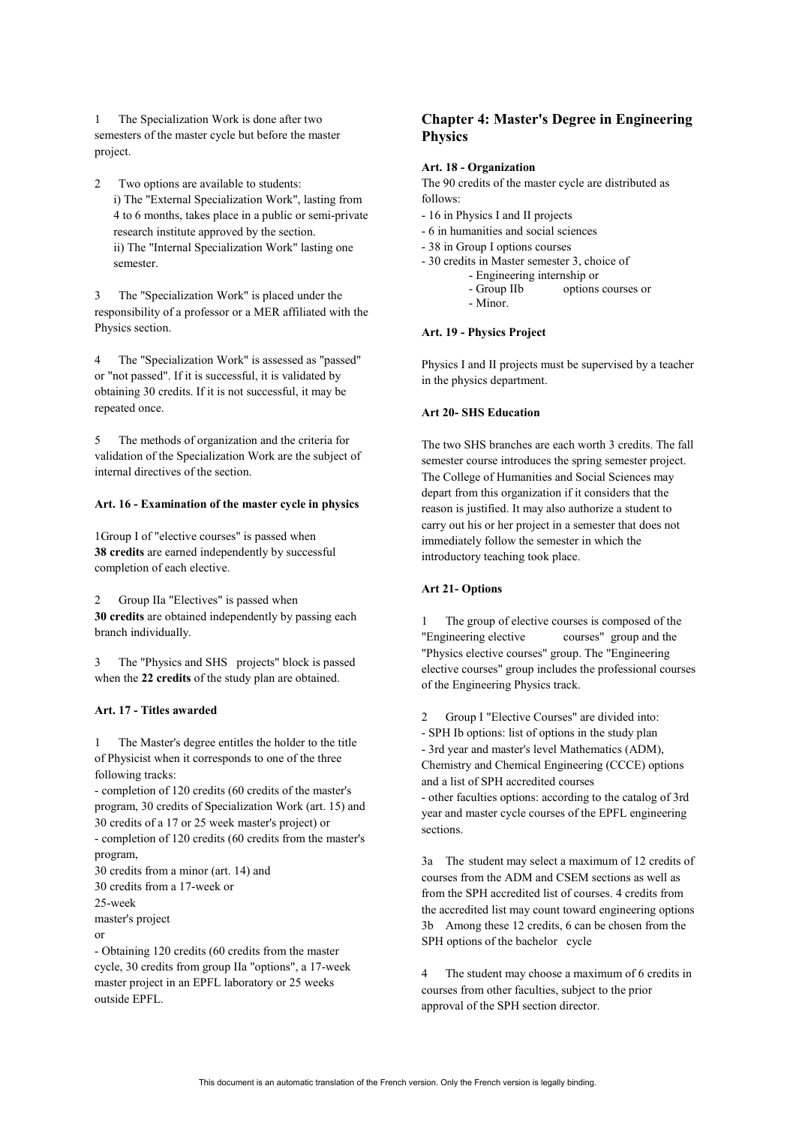1 The Specialization Work is done after two semesters of the master cycle but before the master project.

2 Two options are available to students: i) The "External Specialization Work", lasting from 4 to 6 months, takes place in a public or semi-private research institute approved by the section. ii) The "Internal Specialization Work" lasting one semester.

3 The "Specialization Work" is placed under the responsibility of a professor or a MER affiliated with the Physics section.

4 The "Specialization Work" is assessed as "passed" or "not passed". If it is successful, it is validated by obtaining 30 credits. If it is not successful, it may be repeated once.

5 The methods of organization and the criteria for validation of the Specialization Work are the subject of internal directives of the section.

## **Art. 16 - Examination of the master cycle in physics**

1Group I of "elective courses" is passed when **38 credits** are earned independently by successful completion of each elective.

Group IIa "Electives" is passed when **30 credits** are obtained independently by passing each branch individually.

3 The "Physics and SHS projects" block is passed when the **22 credits** of the study plan are obtained.

## **Art. 17 - Titles awarded**

1 The Master's degree entitles the holder to the title of Physicist when it corresponds to one of the three following tracks:

- completion of 120 credits (60 credits of the master's program, 30 credits of Specialization Work (art. 15) and 30 credits of a 17 or 25 week master's project) or - completion of 120 credits (60 credits from the master's

program, 30 credits from a minor (art. 14) and

30 credits from a 17-week or

25-week

master's project

or

- Obtaining 120 credits (60 credits from the master cycle, 30 credits from group IIa "options", a 17-week master project in an EPFL laboratory or 25 weeks outside EPFL.

# **Chapter 4: Master's Degree in Engineering Physics**

#### **Art. 18 - Organization**

The 90 credits of the master cycle are distributed as follows:

- 16 in Physics I and II projects
- 6 in humanities and social sciences
- 38 in Group I options courses
- 30 credits in Master semester 3, choice of
	- - Engineering internship or options courses or
		- Minor.

## **Art. 19 - Physics Project**

Physics I and II projects must be supervised by a teacher in the physics department.

## **Art 20- SHS Education**

The two SHS branches are each worth 3 credits. The fall semester course introduces the spring semester project. The College of Humanities and Social Sciences may depart from this organization if it considers that the reason is justified. It may also authorize a student to carry out his or her project in a semester that does not immediately follow the semester in which the introductory teaching took place.

## **Art 21- Options**

The group of elective courses is composed of the "Engineering elective courses" group and the "Physics elective courses" group. The "Engineering elective courses" group includes the professional courses of the Engineering Physics track.

2 Group I "Elective Courses" are divided into: - SPH Ib options: list of options in the study plan - 3rd year and master's level Mathematics (ADM), Chemistry and Chemical Engineering (CCCE) options and a list of SPH accredited courses - other faculties options: according to the catalog of 3rd year and master cycle courses of the EPFL engineering sections.

3a The student may select a maximum of 12 credits of courses from the ADM and CSEM sections as well as from the SPH accredited list of courses. 4 credits from the accredited list may count toward engineering options 3b Among these 12 credits, 6 can be chosen from the SPH options of the bachelor cycle

4 The student may choose a maximum of 6 credits in courses from other faculties, subject to the prior approval of the SPH section director.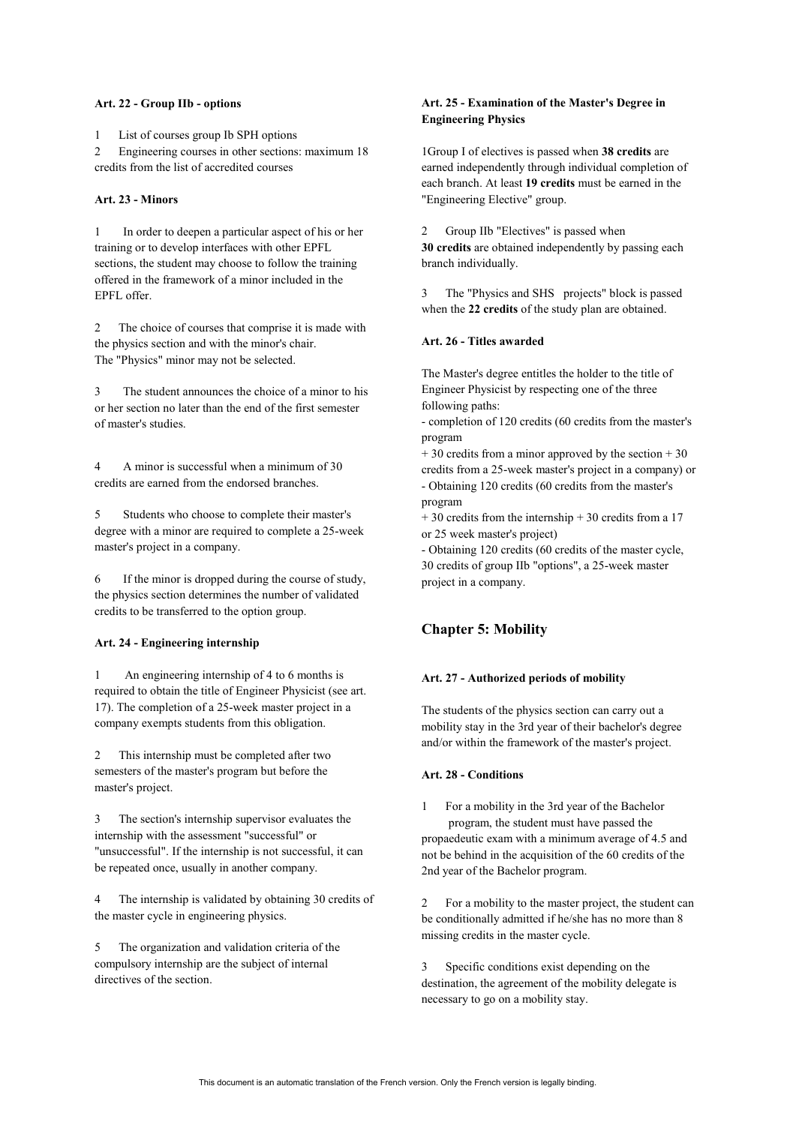#### **Art. 22 - Group IIb - options**

1 List of courses group Ib SPH options 2 Engineering courses in other sections: maximum 18 credits from the list of accredited courses

## **Art. 23 - Minors**

1 In order to deepen a particular aspect of his or her training or to develop interfaces with other EPFL sections, the student may choose to follow the training offered in the framework of a minor included in the EPFL offer.

2 The choice of courses that comprise it is made with the physics section and with the minor's chair. The "Physics" minor may not be selected.

3 The student announces the choice of a minor to his or her section no later than the end of the first semester of master's studies.

4 A minor is successful when a minimum of 30 credits are earned from the endorsed branches.

5 Students who choose to complete their master's degree with a minor are required to complete a 25-week master's project in a company.

6 If the minor is dropped during the course of study, the physics section determines the number of validated credits to be transferred to the option group.

## **Art. 24 - Engineering internship**

1 An engineering internship of 4 to 6 months is required to obtain the title of Engineer Physicist (see art. 17). The completion of a 25-week master project in a company exempts students from this obligation.

2 This internship must be completed after two semesters of the master's program but before the master's project.

3 The section's internship supervisor evaluates the internship with the assessment "successful" or "unsuccessful". If the internship is not successful, it can be repeated once, usually in another company.

The internship is validated by obtaining 30 credits of the master cycle in engineering physics.

5 The organization and validation criteria of the compulsory internship are the subject of internal directives of the section.

## **Art. 25 - Examination of the Master's Degree in Engineering Physics**

1Group I of electives is passed when **38 credits** are earned independently through individual completion of each branch. At least **19 credits** must be earned in the "Engineering Elective" group.

Group IIb "Electives" is passed when **30 credits** are obtained independently by passing each branch individually.

3 The "Physics and SHS projects" block is passed when the **22 credits** of the study plan are obtained.

### **Art. 26 - Titles awarded**

The Master's degree entitles the holder to the title of Engineer Physicist by respecting one of the three following paths:

- completion of 120 credits (60 credits from the master's program

 $+ 30$  credits from a minor approved by the section  $+ 30$ credits from a 25-week master's project in a company) or - Obtaining 120 credits (60 credits from the master's program

 $+ 30$  credits from the internship  $+ 30$  credits from a 17 or 25 week master's project)

- Obtaining 120 credits (60 credits of the master cycle, 30 credits of group IIb "options", a 25-week master project in a company.

## **Chapter 5: Mobility**

#### **Art. 27 - Authorized periods of mobility**

The students of the physics section can carry out a mobility stay in the 3rd year of their bachelor's degree and/or within the framework of the master's project.

## **Art. 28 - Conditions**

1 For a mobility in the 3rd year of the Bachelor

 program, the student must have passed the propaedeutic exam with a minimum average of 4.5 and not be behind in the acquisition of the 60 credits of the 2nd year of the Bachelor program.

2 For a mobility to the master project, the student can be conditionally admitted if he/she has no more than 8 missing credits in the master cycle.

3 Specific conditions exist depending on the destination, the agreement of the mobility delegate is necessary to go on a mobility stay.